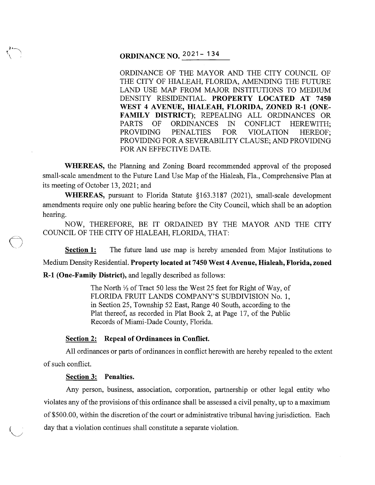# **ORDINANCE NO.**  $2021 - 134$

ORDINANCE OF THE MAYOR AND THE CITY COUNCIL OF THE CITY OF HIALEAH, FLORIDA, AMENDING THE FUTURE LAND USE MAP FROM MAJOR INSTITUTIONS TO MEDIUM DENSITY RESIDENTIAL. **PROPERTY LOCATED AT 7450**  WEST 4 AVENUE, HIALEAH, FLORIDA, ZONED R-1 (ONE-FAMILY DISTRICT); REPEALING ALL ORDINANCES OR PARTS OF ORDINANCES IN CONFLICT HEREWITH; PROVIDING PENALTIES FOR VIOLATION HEREOF; PROVIDING FOR A SEVERABILITY CLAUSE; AND PROVIDING FOR AN EFFECTIVE DATE.

**WHEREAS,** the Planning and Zoning Board recommended approval of the proposed small-scale amendment to the Future Land Use Map of the Hialeah, Fla., Comprehensive Plan at its meeting of October 13, 2021; and

**WHEREAS,** pursuant to Florida Statute §163.3187 (2021), small-scale development amendments require only one public hearing before the City Council, which shall be an adoption hearing.

NOW, THEREFORE, BE IT ORDAINED BY THE MAYOR AND THE CITY COUNCIL OF THE CITY OF HIALEAH, FLORIDA, THAT:

**Section 1:** The future land use map is hereby amended from Major Institutions to

Medium Density Residential. **Property located at 7450 West 4 Avenue, Hialeah, Florida, zoned** 

**R-1 (One-Family District),** and legally described as follows:

The North  $\frac{1}{2}$  of Tract 50 less the West 25 feet for Right of Way, of FLORIDA FRUIT LANDS COMPANY'S SUBDIVISION No. 1, in Section 25, Township 52 East, Range 40 South, according to the Plat thereof, as recorded in Plat Book 2, at Page 17, of the Public Records of Miami-Dade County, Florida.

## **Section 2: Repeal of Ordinances in Conflict.**

All ordinances or parts of ordinances in conflict herewith are hereby repealed to the extent of such conflict.

#### **Section 3: Penalties.**

Any person, business, association, corporation, partnership or other legal entity who violates any of the provisions of this ordinance shall be assessed a civil penalty, up to a maximum of \$500.00, within the discretion of the court or administrative tribunal having jurisdiction. Each day that a violation continues shall constitute a separate violation.